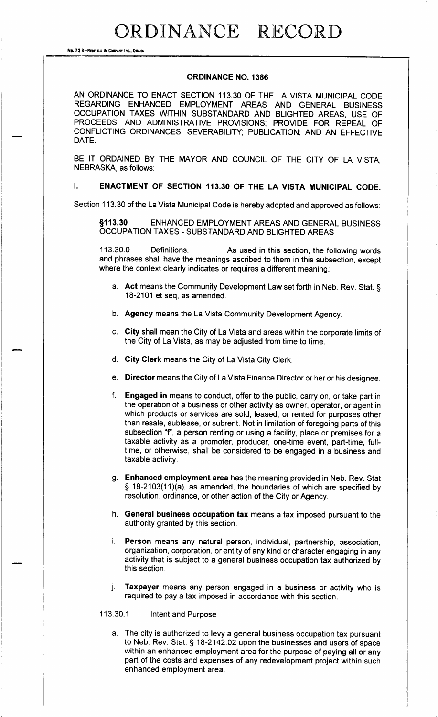ORDINANCE RECORD

No. 72 8-REDFIELD & COMPANY INC., OMAN

#### ORDINANCE NO. 1386

AN ORDINANCE TO ENACT SECTION 113. 30 OF THE LA VISTA MUNICIPAL CODE REGARDING ENHANCED EMPLOYMENT AREAS AND GENERAL BUSINESS OCCUPATION TAXES WITHIN SUBSTANDARD AND BLIGHTED AREAS, USE OF PROCEEDS, AND ADMINISTRATIVE PROVISIONS; PROVIDE FOR REPEAL OF CONFLICTING ORDINANCES; SEVERABILITY; PUBLICATION; AND AN EFFECTIVE DATE.

BE IT ORDAINED BY THE MAYOR AND COUNCIL OF THE CITY OF LA VISTA, NEBRASKA, as follows:

#### $\mathbf{I}$ ENACTMENT OF SECTION 113.30 OF THE LA VISTA MUNICIPAL CODE.

Section 113.30 of the La Vista Municipal Code is hereby adopted and approved as follows:

113. 30 ENHANCED EMPLOYMENT AREAS AND GENERAL BUSINESS OCCUPATION TAXES - SUBSTANDARD AND BLIGHTED AREAS

113.30.0 Definitions. As used in this section, the following words and phrases shall have the meanings ascribed to them in this subsection, except where the context clearly indicates or requires a different meaning:

- a. Act means the Community Development Law set forth in Neb. Rev. Stat. § 18-2101 et seq, as amended.
- b. Agency means the La Vista Community Development Agency.
- c. City shall mean the City of La Vista and areas within the corporate limits of the City of La Vista, as may be adjusted from time to time.
- d. City Clerk means the City of La Vista City Clerk.
- e. Director means the City of La Vista Finance Director or her or his designee.
- f. Engaged in means to conduct, offer to the public, carry on, or take part in the operation of a business or other activity as owner, operator, or agent in which products or services are sold, leased, or rented for purposes other than resale, sublease, or subrent. Not in limitation of foregoing parts of this subsection "f", a person renting or using a facility, place or premises for a taxable activity as a promoter, producer, one-time event, part-time, fulltime, or otherwise, shall be considered to be engaged in a business and taxable activity.
- g. Enhanced employment area has the meaning provided in Neb. Rev. Stat  $\S$  18-2103(11)(a), as amended, the boundaries of which are specified by resolution, ordinance, or other action of the City or Agency.
- h. General business occupation tax means <sup>a</sup> tax imposed pursuant to the authority granted by this section.
- i. Person means any natural person, individual, partnership, association, organization, corporation, or entity of any kind or character engaging in any activity that is subject to a general business occupation tax authorized by this section.
- j. Taxpayer means any person engaged in a business or activity who is required to pay a tax imposed in accordance with this section.

#### 113.30.1 Intent and Purpose

a. The city is authorized to levy a general business occupation tax pursuant to Neb. Rev. Stat. § 18-2142.02 upon the businesses and users of space within an enhanced employment area for the purpose of paying all or any part of the costs and expenses of any redevelopment project within such enhanced employment area.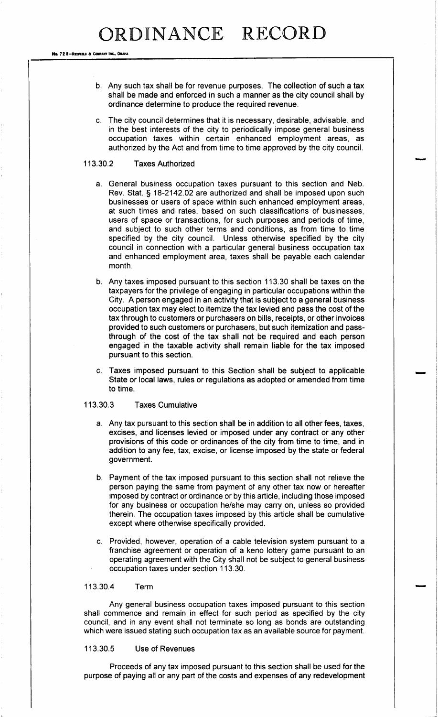No. 72 8-REDFIELD & COMPANY INC., OMAHA

- b. Any such tax shall be for revenue purposes. The collection of such a tax shall be made and enforced in such a manner as the city council shall by ordinance determine to produce the required revenue.
- c. The city council determines that it is necessary, desirable, advisable, and in the best interests of the city to periodically impose general business occupation taxes within certain enhanced employment areas, as authorized by the Act and from time to time approved by the city council.

### 113.30.2 Taxes Authorized

- a. General business occupation taxes pursuant to this section and Neb. Rev. Stat. § 18-2142.02 are authorized and shall be imposed upon such businesses or users of space within such enhanced employment areas, at such times and rates, based on such classifications of businesses, users of space or transactions, for such purposes and periods of time, and subject to such other terms and conditions, as from time to time specified by the city council. Unless otherwise specified by the city council in connection with a particular general business occupation tax and enhanced employment area, taxes shall be payable each calendar month.
- b. Any taxes imposed pursuant to this section 113. 30 shall be taxes on the taxpayers for the privilege of engaging in particular occupations within the City. A person engaged in an activity that is subject to a general business occupation tax may elect to itemize the tax levied and pass the cost of the tax through to customers or purchasers on bills, receipts, or other invoices provided to such customers or purchasers, but such itemization and passthrough of the cost of the tax shall not be required and each person engaged in the taxable activity shall remain liable for the tax imposed pursuant to this section.
- Taxes imposed pursuant to this Section shall be subject to applicable State or local laws, rules or regulations as adopted or amended from time to time.

## 113. 30. 3 Taxes Cumulative

- a. Any tax pursuant to this section shall be in addition to all other fees, taxes, excises, and licenses levied or imposed under any contract or any other provisions of this code or ordinances of the city from time to time, and in addition to any fee, tax, excise, or license imposed by the state or federal government.
- b. Payment of the tax imposed pursuant to this section shall not relieve the person paying the same from payment of any other tax now or hereafter imposed by contract or ordinance or by this article, including those imposed for any business or occupation he/she may carry on, unless so provided therein. The occupation taxes imposed by this article shall be cumulative except where otherwise specifically provided.
- c. Provided, however, operation of a cable television system pursuant to a franchise agreement or operation of a keno lottery game pursuant to an operating agreement with the City shall not be subject to general business occupation taxes under section 113. 30.

### 113.30.4 Term

Any general business occupation taxes imposed pursuant to this section shall commence and remain in effect for such period as specified by the city council, and in any event shall not terminate so long as bonds are outstanding which were issued stating such occupation tax as an available source for payment.

#### 113.30.5 Use of Revenues

Proceeds of any tax imposed pursuant to this section shall be used for the purpose of paying all or any part of the costs and expenses of any redevelopment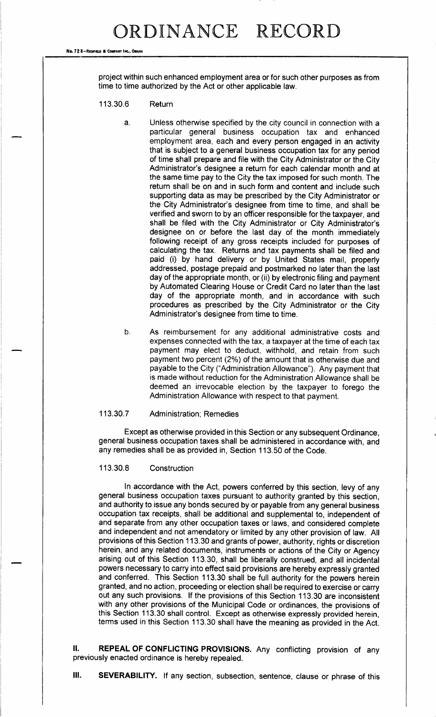#### No. 72 8-REDFIELD & COMPANY INC., OMAN

project within such enhanced employment area or for such other purposes as from time to time authorized by the Act or other applicable law.

- 113.30.6 Return
	- a. Unless otherwise specified by the city council in connection with a particular general business occupation tax and enhanced employment area, each and every person engaged in an activity that is subject to a general business occupation tax for any period of time shall prepare and file with the City Administrator or the City Administrator's designee a return for each calendar month and at the same time pay to the City the tax imposed for such month. The return shall be on and in such form and content and include such supporting data as may be prescribed by the City Administrator or the City Administrator's designee from time to time, and shall be verified and sworn to by an officer responsible for the taxpayer, and shall be filed with the City Administrator or City Administrator's designee on or before the last day of the month immediately following receipt of any gross receipts included for purposes of calculating the tax. Returns and tax payments shall be filed and paid (i) by hand delivery or by United States mail, properly addressed, postage prepaid and postmarked no later than the last day of the appropriate month, or (ii) by electronic filing and payment by Automated Clearing House or Credit Card no later than the last day of the appropriate month, and in accordance with such procedures as prescribed by the City Administrator or the City Administrator's designee from time to time.
	- b. As reimbursement for any additional administrative costs and expenses connected with the tax, a taxpayer at the time of each tax payment may elect to deduct, withhold, and retain from such payment two percent (2%) of the amount that is otherwise due and payable to the City ("Administration Allowance"). Any payment that is made without reduction for the Administration Allowance shall be deemed an irrevocable election by the taxpayer to forego the Administration Allowance with respect to that payment.

#### 113.30.7 Administration; Remedies

Except as otherwise provided in this Section or any subsequent Ordinance, general business occupation taxes shall be administered in accordance with, and any remedies shall be as provided in, Section 113. 50 of the Code.

## 113.30.8 Construction

In accordance with the Act, powers conferred by this section, levy of any general business occupation taxes pursuant to authority granted by this section, and authority to issue any bonds secured by or payable from any general business occupation tax receipts, shall be additional and supplemental to, independent of and separate from any other occupation taxes or laws, and considered complete and independent and not amendatory or limited by any other provision of law. All provisions of this Section 113. 30 and grants of power, authority, rights or discretion herein, and any related documents, instruments or actions of the City or Agency arising out of this Section 113. 30, shall be liberally construed, and all incidental powers necessary to carry into effect said provisions are hereby expressly granted and conferred. This Section 113. 30 shall be full authority for the powers herein granted, and no action, proceeding or election shall be required to exercise or carry out any such provisions. If the provisions of this Section 113. 30 are inconsistent with any other provisions of the Municipal Code or ordinances, the provisions of this Section 113. <sup>30</sup> shall control. Except as otherwise expressly provided herein, terms used in this Section 113. 30 shall have the meaning as provided in the Act.

II. REPEAL OF CONFLICTING PROVISIONS. Any conflicting provision of any previously enacted ordinance is hereby repealed.

III. SEVERABILITY. If any section, subsection, sentence, clause or phrase of this